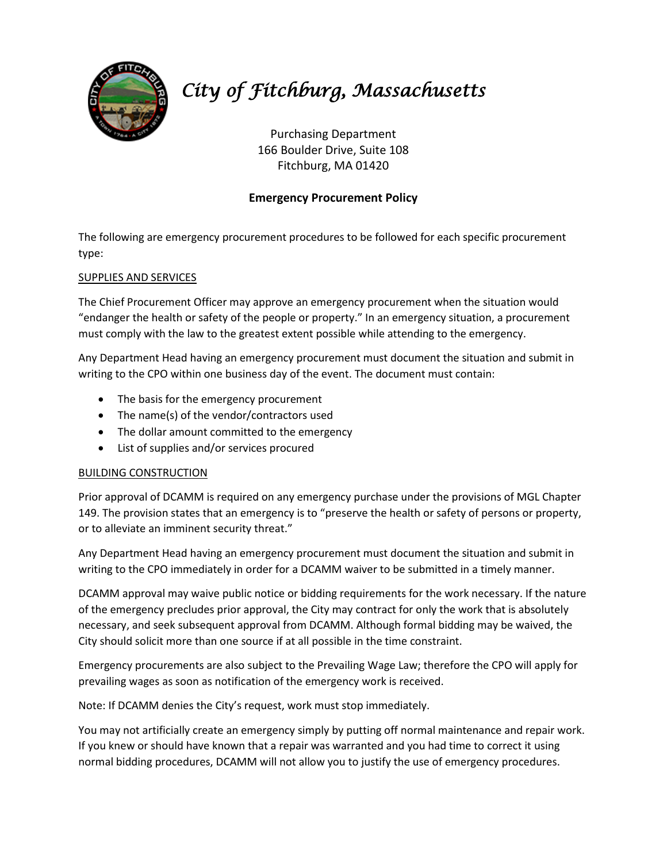

# *City of Fitchburg, Massachusetts*

Purchasing Department 166 Boulder Drive, Suite 108 Fitchburg, MA 01420

## **Emergency Procurement Policy**

The following are emergency procurement procedures to be followed for each specific procurement type:

## SUPPLIES AND SERVICES

The Chief Procurement Officer may approve an emergency procurement when the situation would "endanger the health or safety of the people or property." In an emergency situation, a procurement must comply with the law to the greatest extent possible while attending to the emergency.

Any Department Head having an emergency procurement must document the situation and submit in writing to the CPO within one business day of the event. The document must contain:

- The basis for the emergency procurement
- The name(s) of the vendor/contractors used
- The dollar amount committed to the emergency
- List of supplies and/or services procured

### BUILDING CONSTRUCTION

Prior approval of DCAMM is required on any emergency purchase under the provisions of MGL Chapter 149. The provision states that an emergency is to "preserve the health or safety of persons or property, or to alleviate an imminent security threat."

Any Department Head having an emergency procurement must document the situation and submit in writing to the CPO immediately in order for a DCAMM waiver to be submitted in a timely manner.

DCAMM approval may waive public notice or bidding requirements for the work necessary. If the nature of the emergency precludes prior approval, the City may contract for only the work that is absolutely necessary, and seek subsequent approval from DCAMM. Although formal bidding may be waived, the City should solicit more than one source if at all possible in the time constraint.

Emergency procurements are also subject to the Prevailing Wage Law; therefore the CPO will apply for prevailing wages as soon as notification of the emergency work is received.

Note: If DCAMM denies the City's request, work must stop immediately.

You may not artificially create an emergency simply by putting off normal maintenance and repair work. If you knew or should have known that a repair was warranted and you had time to correct it using normal bidding procedures, DCAMM will not allow you to justify the use of emergency procedures.